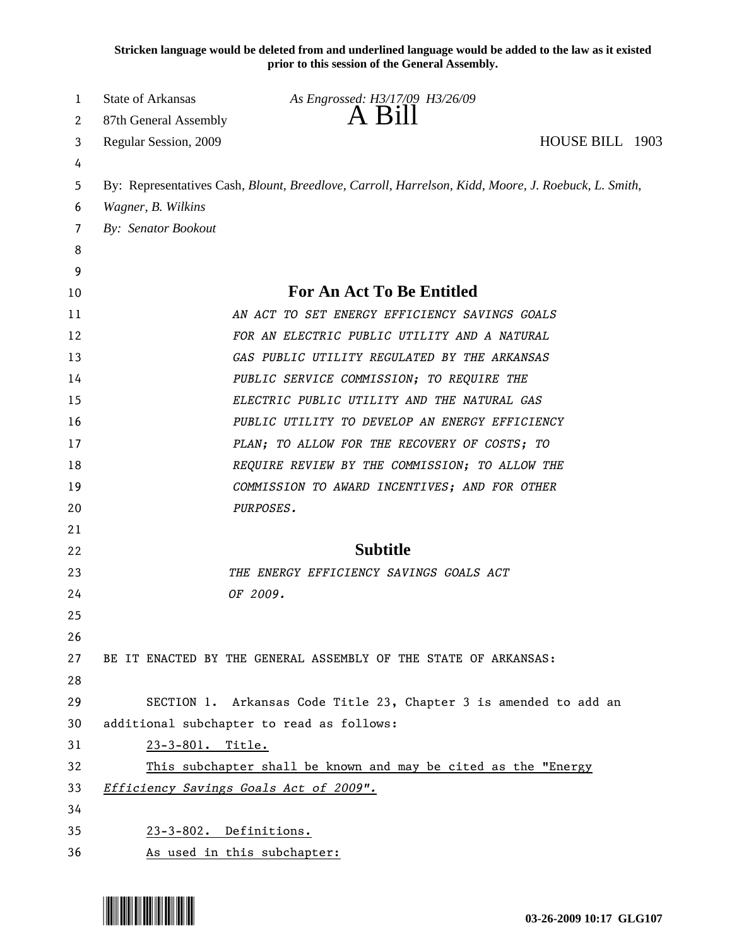**Stricken language would be deleted from and underlined language would be added to the law as it existed prior to this session of the General Assembly.**

| 1  | State of Arkansas      | As Engrossed: H3/17/09 H3/26/09                                                                     |                 |  |
|----|------------------------|-----------------------------------------------------------------------------------------------------|-----------------|--|
| 2  | 87th General Assembly  | A Bill                                                                                              |                 |  |
| 3  | Regular Session, 2009  |                                                                                                     | HOUSE BILL 1903 |  |
| 4  |                        |                                                                                                     |                 |  |
| 5  |                        | By: Representatives Cash, Blount, Breedlove, Carroll, Harrelson, Kidd, Moore, J. Roebuck, L. Smith, |                 |  |
| 6  | Wagner, B. Wilkins     |                                                                                                     |                 |  |
| 7  | By: Senator Bookout    |                                                                                                     |                 |  |
| 8  |                        |                                                                                                     |                 |  |
| 9  |                        |                                                                                                     |                 |  |
| 10 |                        | <b>For An Act To Be Entitled</b>                                                                    |                 |  |
| 11 |                        | AN ACT TO SET ENERGY EFFICIENCY SAVINGS GOALS                                                       |                 |  |
| 12 |                        | FOR AN ELECTRIC PUBLIC UTILITY AND A NATURAL                                                        |                 |  |
| 13 |                        | GAS PUBLIC UTILITY REGULATED BY THE ARKANSAS                                                        |                 |  |
| 14 |                        | PUBLIC SERVICE COMMISSION; TO REQUIRE THE                                                           |                 |  |
| 15 |                        | ELECTRIC PUBLIC UTILITY AND THE NATURAL GAS                                                         |                 |  |
| 16 |                        | PUBLIC UTILITY TO DEVELOP AN ENERGY EFFICIENCY                                                      |                 |  |
| 17 |                        | PLAN; TO ALLOW FOR THE RECOVERY OF COSTS; TO                                                        |                 |  |
| 18 |                        | REQUIRE REVIEW BY THE COMMISSION; TO ALLOW THE                                                      |                 |  |
| 19 |                        | COMMISSION TO AWARD INCENTIVES; AND FOR OTHER                                                       |                 |  |
| 20 |                        | PURPOSES.                                                                                           |                 |  |
| 21 |                        |                                                                                                     |                 |  |
| 22 |                        | <b>Subtitle</b>                                                                                     |                 |  |
| 23 |                        | THE ENERGY EFFICIENCY SAVINGS GOALS ACT                                                             |                 |  |
| 24 |                        | OF 2009.                                                                                            |                 |  |
| 25 |                        |                                                                                                     |                 |  |
| 26 |                        |                                                                                                     |                 |  |
| 27 |                        | BE IT ENACTED BY THE GENERAL ASSEMBLY OF THE STATE OF ARKANSAS:                                     |                 |  |
| 28 |                        |                                                                                                     |                 |  |
| 29 |                        | SECTION 1. Arkansas Code Title 23, Chapter 3 is amended to add an                                   |                 |  |
| 30 |                        | additional subchapter to read as follows:                                                           |                 |  |
| 31 | 23-3-801. Title.       |                                                                                                     |                 |  |
| 32 |                        | This subchapter shall be known and may be cited as the "Energy                                      |                 |  |
| 33 |                        | Efficiency Savings Goals Act of 2009".                                                              |                 |  |
| 34 |                        |                                                                                                     |                 |  |
| 35 | 23-3-802. Definitions. |                                                                                                     |                 |  |
| 36 |                        | As used in this subchapter:                                                                         |                 |  |

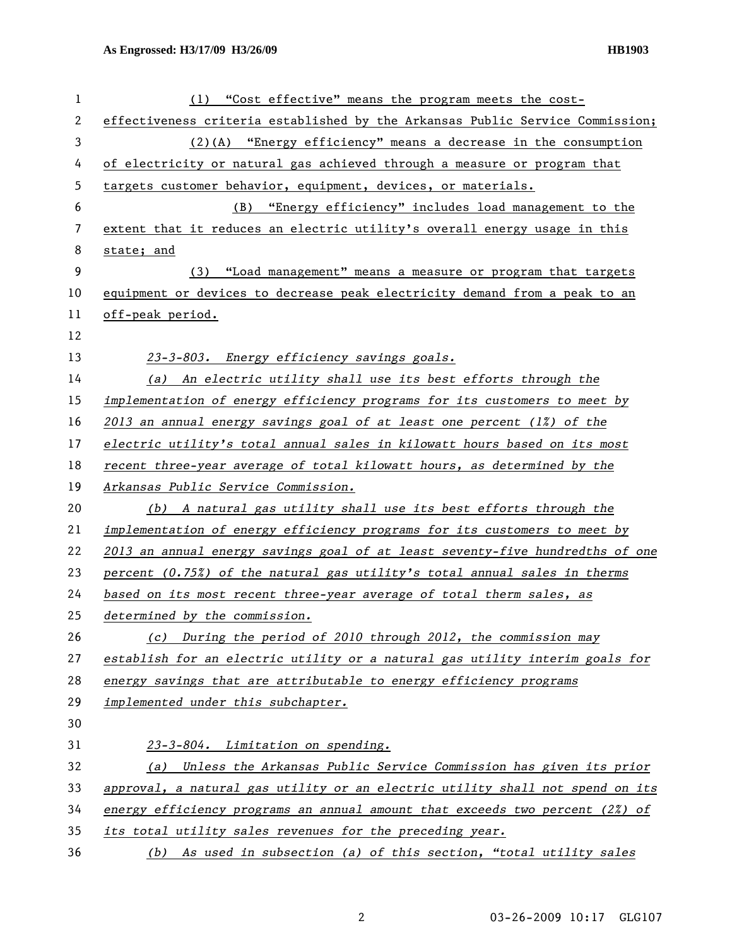| 1  | (1) "Cost effective" means the program meets the cost-                          |
|----|---------------------------------------------------------------------------------|
| 2  | effectiveness criteria established by the Arkansas Public Service Commission;   |
| 3  | $(2)(A)$ "Energy efficiency" means a decrease in the consumption                |
| 4  | of electricity or natural gas achieved through a measure or program that        |
| 5  | targets customer behavior, equipment, devices, or materials.                    |
| 6  | "Energy efficiency" includes load management to the<br>(B)                      |
| 7  | extent that it reduces an electric utility's overall energy usage in this       |
| 8  | state; and                                                                      |
| 9  | (3) "Load management" means a measure or program that targets                   |
| 10 | equipment or devices to decrease peak electricity demand from a peak to an      |
| 11 | off-peak period.                                                                |
| 12 |                                                                                 |
| 13 | 23-3-803. Energy efficiency savings goals.                                      |
| 14 | (a) An electric utility shall use its best efforts through the                  |
| 15 | implementation of energy efficiency programs for its customers to meet by       |
| 16 | 2013 an annual energy savings goal of at least one percent $(1\%)$ of the       |
| 17 | electric utility's total annual sales in kilowatt hours based on its most       |
| 18 | recent three-year average of total kilowatt hours, as determined by the         |
| 19 | Arkansas Public Service Commission.                                             |
| 20 | (b) A natural gas utility shall use its best efforts through the                |
| 21 | implementation of energy efficiency programs for its customers to meet by       |
| 22 | 2013 an annual energy savings goal of at least seventy-five hundredths of one   |
| 23 | percent (0.75%) of the natural gas utility's total annual sales in therms       |
| 24 | based on its most recent three-year average of total therm sales, as            |
| 25 | determined by the commission.                                                   |
| 26 | (c) During the period of 2010 through 2012, the commission may                  |
| 27 | establish for an electric utility or a natural gas utility interim goals for    |
| 28 | energy savings that are attributable to energy efficiency programs              |
| 29 | implemented under this subchapter.                                              |
| 30 |                                                                                 |
| 31 | 23-3-804. Limitation on spending.                                               |
| 32 | (a) Unless the Arkansas Public Service Commission has given its prior           |
| 33 | approval, a natural gas utility or an electric utility shall not spend on its   |
| 34 | energy efficiency programs an annual amount that exceeds two percent $(2\%)$ of |
| 35 | its total utility sales revenues for the preceding year.                        |
| 36 | (b) As used in subsection (a) of this section, "total utility sales             |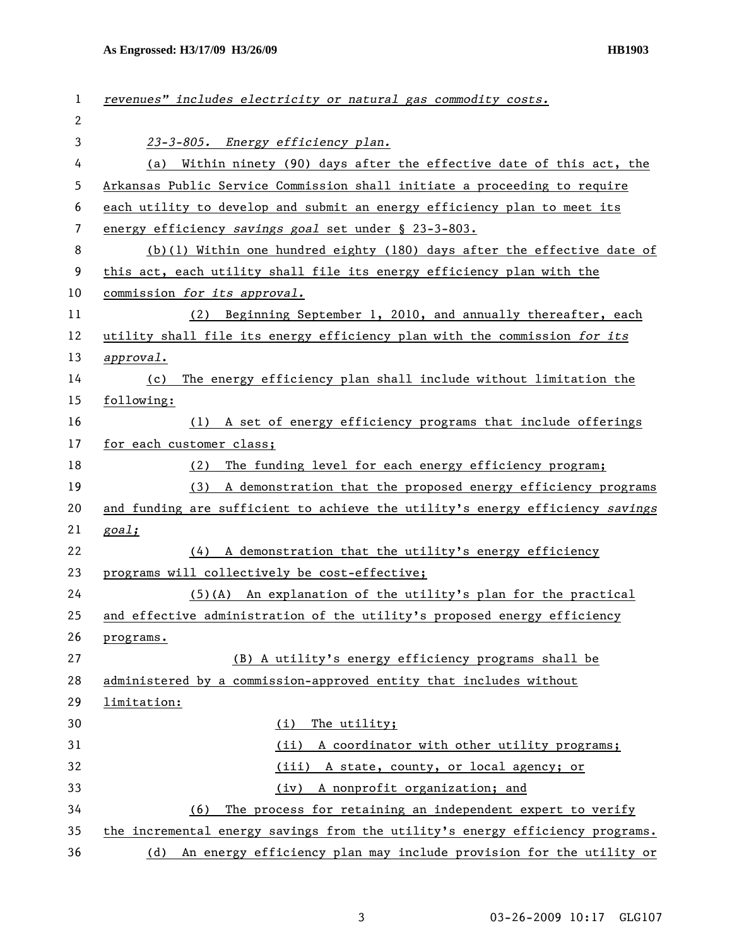| 1  | revenues" includes electricity or natural gas commodity costs.                |
|----|-------------------------------------------------------------------------------|
| 2  |                                                                               |
| 3  | 23-3-805. Energy efficiency plan.                                             |
| 4  | (a) Within ninety (90) days after the effective date of this act, the         |
| 5  | Arkansas Public Service Commission shall initiate a proceeding to require     |
| 6  | each utility to develop and submit an energy efficiency plan to meet its      |
| 7  | energy efficiency savings goal set under § 23-3-803.                          |
| 8  | $(b)(1)$ Within one hundred eighty (180) days after the effective date of     |
| 9  | this act, each utility shall file its energy efficiency plan with the         |
| 10 | commission for its approval.                                                  |
| 11 | (2) Beginning September 1, 2010, and annually thereafter, each                |
| 12 | utility shall file its energy efficiency plan with the commission for its     |
| 13 | approval.                                                                     |
| 14 | The energy efficiency plan shall include without limitation the<br>(c)        |
| 15 | following:                                                                    |
| 16 | (1) A set of energy efficiency programs that include offerings                |
| 17 | for each customer class;                                                      |
| 18 | The funding level for each energy efficiency program;<br>(2)                  |
| 19 | A demonstration that the proposed energy efficiency programs<br>(3)           |
| 20 | and funding are sufficient to achieve the utility's energy efficiency savings |
| 21 | goal;                                                                         |
| 22 | A demonstration that the utility's energy efficiency<br>(4)                   |
| 23 | programs will collectively be cost-effective;                                 |
| 24 | $(5)(A)$ An explanation of the utility's plan for the practical               |
| 25 | and effective administration of the utility's proposed energy efficiency      |
| 26 | programs.                                                                     |
| 27 | (B) A utility's energy efficiency programs shall be                           |
| 28 | administered by a commission-approved entity that includes without            |
| 29 | limitation:                                                                   |
| 30 | The utility;<br>(i)                                                           |
| 31 | (iii)<br>A coordinator with other utility programs;                           |
| 32 | (iii) A state, county, or local agency; or                                    |
| 33 | A nonprofit organization; and<br>(iv)                                         |
| 34 | The process for retaining an independent expert to verify<br>(6)              |
| 35 | the incremental energy savings from the utility's energy efficiency programs. |
| 36 | (d) An energy efficiency plan may include provision for the utility or        |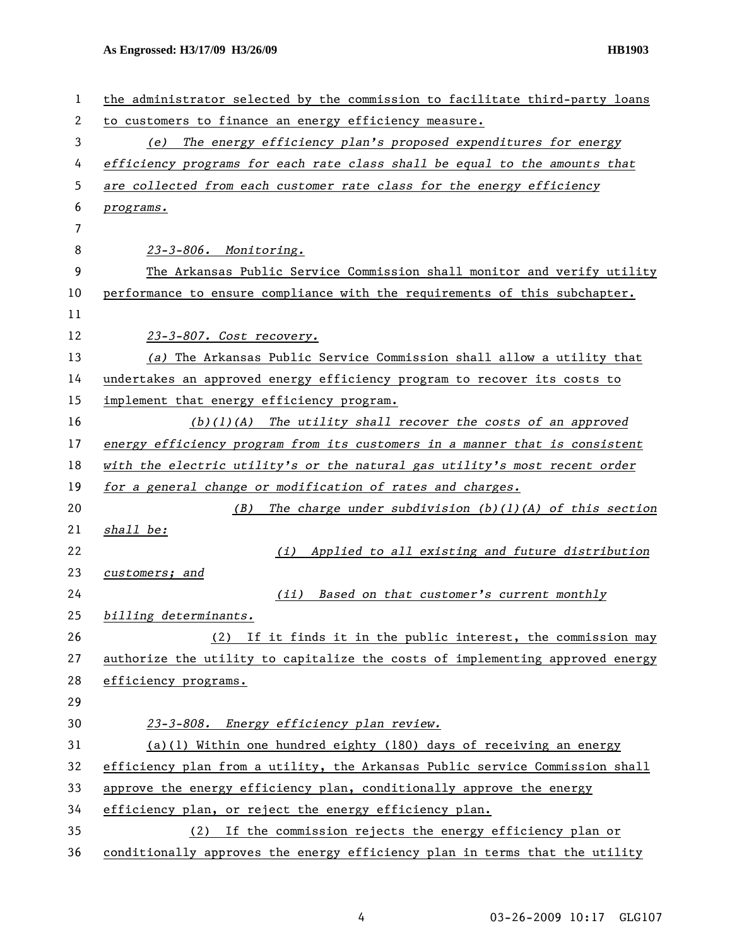| 1  | the administrator selected by the commission to facilitate third-party loans  |
|----|-------------------------------------------------------------------------------|
| 2  | to customers to finance an energy efficiency measure.                         |
| 3  | (e) The energy efficiency plan's proposed expenditures for energy             |
| 4  | efficiency programs for each rate class shall be equal to the amounts that    |
| 5  | are collected from each customer rate class for the energy efficiency         |
| 6  | programs.                                                                     |
| 7  |                                                                               |
| 8  | 23-3-806. Monitoring.                                                         |
| 9  | The Arkansas Public Service Commission shall monitor and verify utility       |
| 10 | performance to ensure compliance with the requirements of this subchapter.    |
| 11 |                                                                               |
| 12 | 23-3-807. Cost recovery.                                                      |
| 13 | (a) The Arkansas Public Service Commission shall allow a utility that         |
| 14 | undertakes an approved energy efficiency program to recover its costs to      |
| 15 | implement that energy efficiency program.                                     |
| 16 | $(b)(1)(A)$ The utility shall recover the costs of an approved                |
| 17 | energy efficiency program from its customers in a manner that is consistent   |
| 18 | with the electric utility's or the natural gas utility's most recent order    |
| 19 | for a general change or modification of rates and charges.                    |
| 20 | The charge under subdivision $(b)(1)(A)$ of this section<br>(B)               |
| 21 | shall be:                                                                     |
| 22 | (i) Applied to all existing and future distribution                           |
| 23 | customers; and                                                                |
| 24 | Based on that customer's current monthly<br>(ii)                              |
| 25 | billing determinants.                                                         |
| 26 | (2) If it finds it in the public interest, the commission may                 |
| 27 | authorize the utility to capitalize the costs of implementing approved energy |
| 28 | efficiency programs.                                                          |
| 29 |                                                                               |
| 30 | 23-3-808. Energy efficiency plan review.                                      |
| 31 | (a)(1) Within one hundred eighty (180) days of receiving an energy            |
| 32 | efficiency plan from a utility, the Arkansas Public service Commission shall  |
| 33 | approve the energy efficiency plan, conditionally approve the energy          |
| 34 | efficiency plan, or reject the energy efficiency plan.                        |
| 35 | If the commission rejects the energy efficiency plan or<br>(2)                |
| 36 | conditionally approves the energy efficiency plan in terms that the utility   |